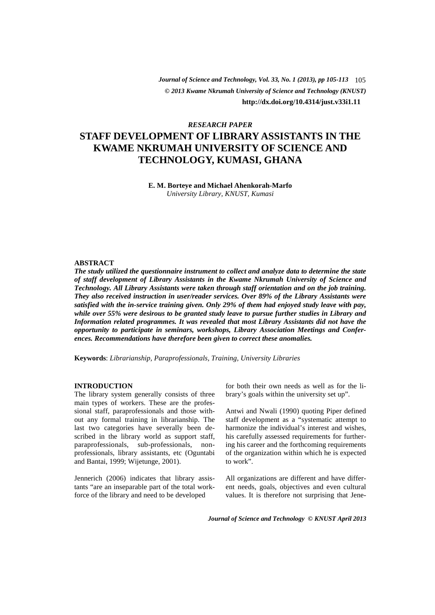*© 2013 Kwame Nkrumah University of Science and Technology (KNUST) Journal of Science and Technology, Vol. 33, No. 1 (2013), pp 105-113* 105 **http://dx.doi.org/10.4314/just.v33i1.11**

# *RESEARCH PAPER*

# **STAFF DEVELOPMENT OF LIBRARY ASSISTANTS IN THE KWAME NKRUMAH UNIVERSITY OF SCIENCE AND TECHNOLOGY, KUMASI, GHANA**

**E. M. Borteye and Michael Ahenkorah-Marfo** *University Library, KNUST, Kumasi* 

### **ABSTRACT**

*The study utilized the questionnaire instrument to collect and analyze data to determine the state of staff development of Library Assistants in the Kwame Nkrumah University of Science and Technology. All Library Assistants were taken through staff orientation and on the job training. They also received instruction in user/reader services. Over 89% of the Library Assistants were satisfied with the in-service training given. Only 29% of them had enjoyed study leave with pay, while over 55% were desirous to be granted study leave to pursue further studies in Library and Information related programmes. It was revealed that most Library Assistants did not have the opportunity to participate in seminars, workshops, Library Association Meetings and Conferences. Recommendations have therefore been given to correct these anomalies.* 

**Keywords**: *Librarianship, Paraprofessionals, Training, University Libraries* 

#### **INTRODUCTION**

The library system generally consists of three main types of workers. These are the professional staff, paraprofessionals and those without any formal training in librarianship. The last two categories have severally been described in the library world as support staff, paraprofessionals, sub-professionals, nonprofessionals, library assistants, etc (Oguntabi and Bantai, 1999; Wijetunge, 2001).

Jennerich (2006) indicates that library assistants "are an inseparable part of the total workforce of the library and need to be developed

for both their own needs as well as for the library's goals within the university set up".

Antwi and Nwali (1990) quoting Piper defined staff development as a "systematic attempt to harmonize the individual's interest and wishes, his carefully assessed requirements for furthering his career and the forthcoming requirements of the organization within which he is expected to work".

All organizations are different and have different needs, goals, objectives and even cultural values. It is therefore not surprising that Jene-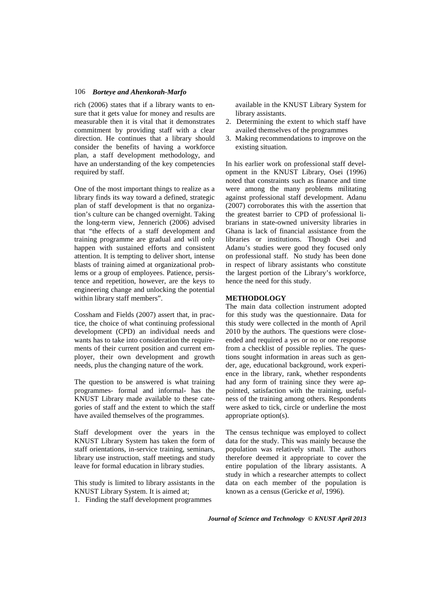rich (2006) states that if a library wants to ensure that it gets value for money and results are measurable then it is vital that it demonstrates commitment by providing staff with a clear direction. He continues that a library should consider the benefits of having a workforce plan, a staff development methodology, and have an understanding of the key competencies required by staff.

One of the most important things to realize as a library finds its way toward a defined, strategic plan of staff development is that no organization's culture can be changed overnight. Taking the long-term view, Jennerich (2006) advised that "the effects of a staff development and training programme are gradual and will only happen with sustained efforts and consistent attention. It is tempting to deliver short, intense blasts of training aimed at organizational problems or a group of employees. Patience, persistence and repetition, however, are the keys to engineering change and unlocking the potential within library staff members".

Cossham and Fields (2007) assert that, in practice, the choice of what continuing professional development (CPD) an individual needs and wants has to take into consideration the requirements of their current position and current employer, their own development and growth needs, plus the changing nature of the work.

The question to be answered is what training programmes- formal and informal- has the KNUST Library made available to these categories of staff and the extent to which the staff have availed themselves of the programmes.

Staff development over the years in the KNUST Library System has taken the form of staff orientations, in-service training, seminars, library use instruction, staff meetings and study leave for formal education in library studies.

This study is limited to library assistants in the KNUST Library System. It is aimed at;

1. Finding the staff development programmes

available in the KNUST Library System for library assistants.

- 2. Determining the extent to which staff have availed themselves of the programmes
- 3. Making recommendations to improve on the existing situation.

In his earlier work on professional staff development in the KNUST Library, Osei (1996) noted that constraints such as finance and time were among the many problems militating against professional staff development. Adanu (2007) corroborates this with the assertion that the greatest barrier to CPD of professional librarians in state-owned university libraries in Ghana is lack of financial assistance from the libraries or institutions. Though Osei and Adanu's studies were good they focused only on professional staff. No study has been done in respect of library assistants who constitute the largest portion of the Library's workforce, hence the need for this study.

### **METHODOLOGY**

The main data collection instrument adopted for this study was the questionnaire. Data for this study were collected in the month of April 2010 by the authors. The questions were closeended and required a yes or no or one response from a checklist of possible replies. The questions sought information in areas such as gender, age, educational background, work experience in the library, rank, whether respondents had any form of training since they were appointed, satisfaction with the training, usefulness of the training among others. Respondents were asked to tick, circle or underline the most appropriate option(s).

The census technique was employed to collect data for the study. This was mainly because the population was relatively small. The authors therefore deemed it appropriate to cover the entire population of the library assistants. A study in which a researcher attempts to collect data on each member of the population is known as a census (Gericke *et al*, 1996).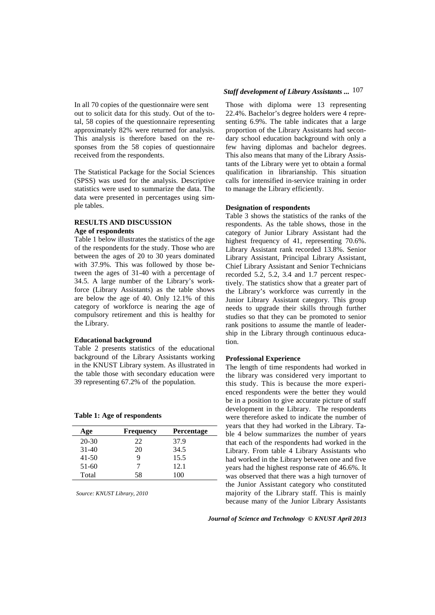In all 70 copies of the questionnaire were sent out to solicit data for this study. Out of the total, 58 copies of the questionnaire representing approximately 82% were returned for analysis. This analysis is therefore based on the responses from the 58 copies of questionnaire received from the respondents.

The Statistical Package for the Social Sciences (SPSS) was used for the analysis. Descriptive statistics were used to summarize the data. The data were presented in percentages using simple tables.

# **RESULTS AND DISCUSSION Age of respondents**

Table 1 below illustrates the statistics of the age of the respondents for the study. Those who are between the ages of 20 to 30 years dominated with 37.9%. This was followed by those between the ages of 31-40 with a percentage of 34.5. A large number of the Library's workforce (Library Assistants) as the table shows are below the age of 40. Only 12.1% of this category of workforce is nearing the age of compulsory retirement and this is healthy for the Library.

### **Educational background**

Table 2 presents statistics of the educational background of the Library Assistants working in the KNUST Library system. As illustrated in the table those with secondary education were 39 representing 67.2% of the population.

**Table 1: Age of respondents** 

| Age       | <b>Frequency</b> | <b>Percentage</b> |
|-----------|------------------|-------------------|
| $20 - 30$ | 22               | 37.9              |
| $31 - 40$ | 20               | 34.5              |
| $41 - 50$ | 9                | 15.5              |
| $51-60$   | 7                | 12.1              |
| Total     | 58               | 100               |

*Source: KNUST Library, 2010*

# *Staff development of Library Assistants ...* 107

Those with diploma were 13 representing 22.4%. Bachelor's degree holders were 4 representing 6.9%. The table indicates that a large proportion of the Library Assistants had secondary school education background with only a few having diplomas and bachelor degrees. This also means that many of the Library Assistants of the Library were yet to obtain a formal qualification in librarianship. This situation calls for intensified in-service training in order to manage the Library efficiently.

### **Designation of respondents**

Table 3 shows the statistics of the ranks of the respondents. As the table shows, those in the category of Junior Library Assistant had the highest frequency of 41, representing 70.6%. Library Assistant rank recorded 13.8%. Senior Library Assistant, Principal Library Assistant, Chief Library Assistant and Senior Technicians recorded 5.2, 5.2, 3.4 and 1.7 percent respectively. The statistics show that a greater part of the Library's workforce was currently in the Junior Library Assistant category. This group needs to upgrade their skills through further studies so that they can be promoted to senior rank positions to assume the mantle of leadership in the Library through continuous education.

### **Professional Experience**

The length of time respondents had worked in the library was considered very important to this study. This is because the more experienced respondents were the better they would be in a position to give accurate picture of staff development in the Library. The respondents were therefore asked to indicate the number of years that they had worked in the Library. Table 4 below summarizes the number of years that each of the respondents had worked in the Library. From table 4 Library Assistants who had worked in the Library between one and five years had the highest response rate of 46.6%. It was observed that there was a high turnover of the Junior Assistant category who constituted majority of the Library staff. This is mainly because many of the Junior Library Assistants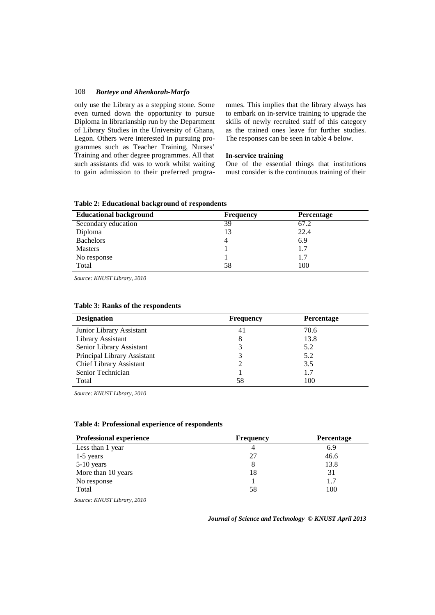only use the Library as a stepping stone. Some even turned down the opportunity to pursue Diploma in librarianship run by the Department of Library Studies in the University of Ghana, Legon. Others were interested in pursuing programmes such as Teacher Training, Nurses' Training and other degree programmes. All that such assistants did was to work whilst waiting to gain admission to their preferred programmes. This implies that the library always has to embark on in-service training to upgrade the skills of newly recruited staff of this category as the trained ones leave for further studies. The responses can be seen in table 4 below.

### **In-service training**

One of the essential things that institutions must consider is the continuous training of their

|  |  |  | Table 2: Educational background of respondents |
|--|--|--|------------------------------------------------|
|--|--|--|------------------------------------------------|

| <b>Educational background</b> | <b>Frequency</b> | <b>Percentage</b> |
|-------------------------------|------------------|-------------------|
| Secondary education           | 39               | 67.2              |
| Diploma                       | 13               | 22.4              |
| <b>Bachelors</b>              | 4                | 6.9               |
| <b>Masters</b>                |                  | 1.7               |
| No response                   |                  | 1.7               |
| Total                         | 58               | 100               |

*Source: KNUST Library, 2010*

| <b>Designation</b>             | <b>Frequency</b> | <b>Percentage</b> |
|--------------------------------|------------------|-------------------|
| Junior Library Assistant       | 41               | 70.6              |
| Library Assistant              | 8                | 13.8              |
| Senior Library Assistant       |                  | 5.2               |
| Principal Library Assistant    | 3                | 5.2               |
| <b>Chief Library Assistant</b> |                  | 3.5               |
| Senior Technician              |                  | 1.7               |
| Total                          | 58               | 100               |

### **Table 3: Ranks of the respondents**

*Source: KNUST Library, 2010*

| <b>Professional experience</b> | <b>Frequency</b> | <b>Percentage</b> |
|--------------------------------|------------------|-------------------|
| Less than 1 year               |                  | 6.9               |
| $1-5$ years                    |                  | 46.6              |
| $5-10$ years                   |                  | 13.8              |
| More than 10 years             | 18               | 31                |
| No response                    |                  |                   |
| Total                          | 58               | 100               |

*Source: KNUST Library, 2010*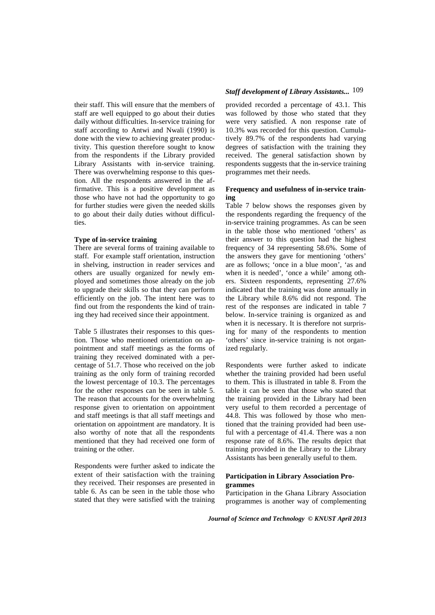their staff. This will ensure that the members of staff are well equipped to go about their duties daily without difficulties. In-service training for staff according to Antwi and Nwali (1990) is done with the view to achieving greater productivity. This question therefore sought to know from the respondents if the Library provided Library Assistants with in-service training. There was overwhelming response to this question. All the respondents answered in the affirmative. This is a positive development as those who have not had the opportunity to go for further studies were given the needed skills to go about their daily duties without difficulties.

#### **Type of in-service training**

There are several forms of training available to staff. For example staff orientation, instruction in shelving, instruction in reader services and others are usually organized for newly employed and sometimes those already on the job to upgrade their skills so that they can perform efficiently on the job. The intent here was to find out from the respondents the kind of training they had received since their appointment.

Table 5 illustrates their responses to this question. Those who mentioned orientation on appointment and staff meetings as the forms of training they received dominated with a percentage of 51.7. Those who received on the job training as the only form of training recorded the lowest percentage of 10.3. The percentages for the other responses can be seen in table 5. The reason that accounts for the overwhelming response given to orientation on appointment and staff meetings is that all staff meetings and orientation on appointment are mandatory. It is also worthy of note that all the respondents mentioned that they had received one form of training or the other.

Respondents were further asked to indicate the extent of their satisfaction with the training they received. Their responses are presented in table 6. As can be seen in the table those who stated that they were satisfied with the training

# *Staff development of Library Assistants...* 109

 provided recorded a percentage of 43.1. This was followed by those who stated that they were very satisfied. A non response rate of 10.3% was recorded for this question. Cumulatively 89.7% of the respondents had varying degrees of satisfaction with the training they received. The general satisfaction shown by respondents suggests that the in-service training programmes met their needs.

### **Frequency and usefulness of in-service training**

Table 7 below shows the responses given by the respondents regarding the frequency of the in-service training programmes. As can be seen in the table those who mentioned 'others' as their answer to this question had the highest frequency of 34 representing 58.6%. Some of the answers they gave for mentioning 'others' are as follows; 'once in a blue moon', 'as and when it is needed', 'once a while' among others. Sixteen respondents, representing 27.6% indicated that the training was done annually in the Library while 8.6% did not respond. The rest of the responses are indicated in table 7 below. In-service training is organized as and when it is necessary. It is therefore not surprising for many of the respondents to mention 'others' since in-service training is not organized regularly.

Respondents were further asked to indicate whether the training provided had been useful to them. This is illustrated in table 8. From the table it can be seen that those who stated that the training provided in the Library had been very useful to them recorded a percentage of 44.8. This was followed by those who mentioned that the training provided had been useful with a percentage of 41.4. There was a non response rate of 8.6%. The results depict that training provided in the Library to the Library Assistants has been generally useful to them.

# **Participation in Library Association Programmes**

Participation in the Ghana Library Association programmes is another way of complementing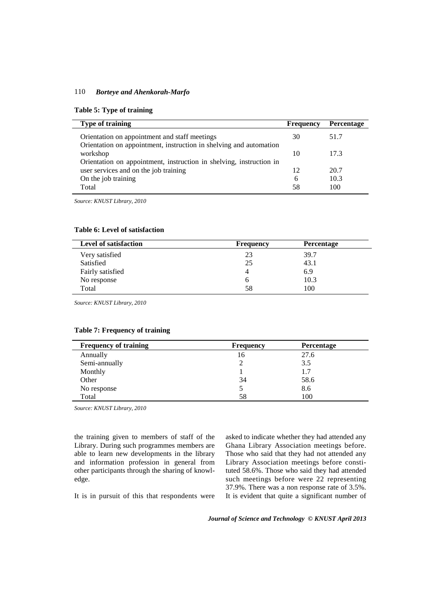### **Table 5: Type of training**

| <b>Type of training</b>                                                                                      | <b>Frequency</b> | Percentage |
|--------------------------------------------------------------------------------------------------------------|------------------|------------|
| Orientation on appointment and staff meetings                                                                | 30               | 51.7       |
| Orientation on appointment, instruction in shelving and automation<br>workshop                               | 10               | 17.3       |
| Orientation on appointment, instruction in shelving, instruction in<br>user services and on the job training | 12               | 20.7       |
| On the job training                                                                                          | 6                | 10.3       |
| Total                                                                                                        | 58               | 100        |

*Source: KNUST Library, 2010*

# **Table 6: Level of satisfaction**

| <b>Level of satisfaction</b> | <b>Frequency</b> | <b>Percentage</b> |
|------------------------------|------------------|-------------------|
| Very satisfied               | 23               | 39.7              |
| Satisfied                    | 25               | 43.1              |
| Fairly satisfied             |                  | 6.9               |
| No response                  | b                | 10.3              |
| Total                        | 58               | 100               |

*Source: KNUST Library, 2010*

| <b>Frequency of training</b> | <b>Frequency</b> | <b>Percentage</b> |
|------------------------------|------------------|-------------------|
| Annually                     | 16               | 27.6              |
| Semi-annually                |                  | 3.5               |
| Monthly                      |                  | 1.7               |
| Other                        | 34               | 58.6              |
| No response                  |                  | 8.6               |
| Total                        | 58               | 100               |

# **Table 7: Frequency of training**

*Source: KNUST Library, 2010*

the training given to members of staff of the Library. During such programmes members are able to learn new developments in the library and information profession in general from other participants through the sharing of knowledge.

asked to indicate whether they had attended any Ghana Library Association meetings before. Those who said that they had not attended any Library Association meetings before constituted 58.6%. Those who said they had attended such meetings before were 22 representing 37.9%. There was a non response rate of 3.5%. It is evident that quite a significant number of

It is in pursuit of this that respondents were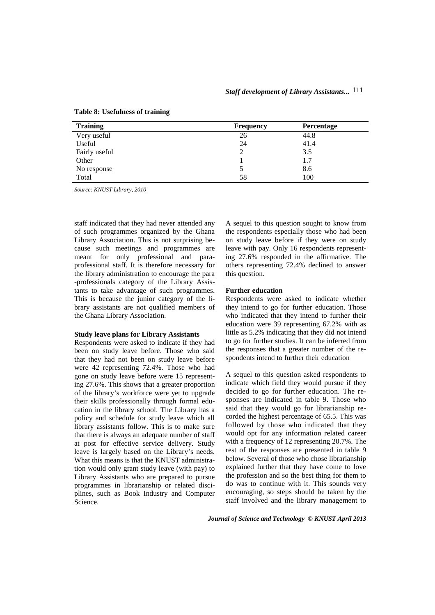| <b>Training</b> | <b>Frequency</b> | Percentage |
|-----------------|------------------|------------|
| Very useful     | 26               | 44.8       |
| Useful          | 24               | 41.4       |
| Fairly useful   |                  | 3.5        |
| Other           |                  | 1.7        |
| No response     |                  | 8.6        |
| Total           | 58               | 100        |

**Table 8: Usefulness of training** 

*Source: KNUST Library, 2010*

staff indicated that they had never attended any of such programmes organized by the Ghana Library Association. This is not surprising because such meetings and programmes are meant for only professional and paraprofessional staff. It is therefore necessary for the library administration to encourage the para -professionals category of the Library Assistants to take advantage of such programmes. This is because the junior category of the library assistants are not qualified members of the Ghana Library Association.

### **Study leave plans for Library Assistants**

Respondents were asked to indicate if they had been on study leave before. Those who said that they had not been on study leave before were 42 representing 72.4%. Those who had gone on study leave before were 15 representing 27.6%. This shows that a greater proportion of the library's workforce were yet to upgrade their skills professionally through formal education in the library school. The Library has a policy and schedule for study leave which all library assistants follow. This is to make sure that there is always an adequate number of staff at post for effective service delivery. Study leave is largely based on the Library's needs. What this means is that the KNUST administration would only grant study leave (with pay) to Library Assistants who are prepared to pursue programmes in librarianship or related disciplines, such as Book Industry and Computer Science.

A sequel to this question sought to know from the respondents especially those who had been on study leave before if they were on study leave with pay. Only 16 respondents representing 27.6% responded in the affirmative. The others representing 72.4% declined to answer this question.

### **Further education**

Respondents were asked to indicate whether they intend to go for further education. Those who indicated that they intend to further their education were 39 representing 67.2% with as little as 5.2% indicating that they did not intend to go for further studies. It can be inferred from the responses that a greater number of the respondents intend to further their education

A sequel to this question asked respondents to indicate which field they would pursue if they decided to go for further education. The responses are indicated in table 9. Those who said that they would go for librarianship recorded the highest percentage of 65.5. This was followed by those who indicated that they would opt for any information related career with a frequency of 12 representing 20.7%. The rest of the responses are presented in table 9 below. Several of those who chose librarianship explained further that they have come to love the profession and so the best thing for them to do was to continue with it. This sounds very encouraging, so steps should be taken by the staff involved and the library management to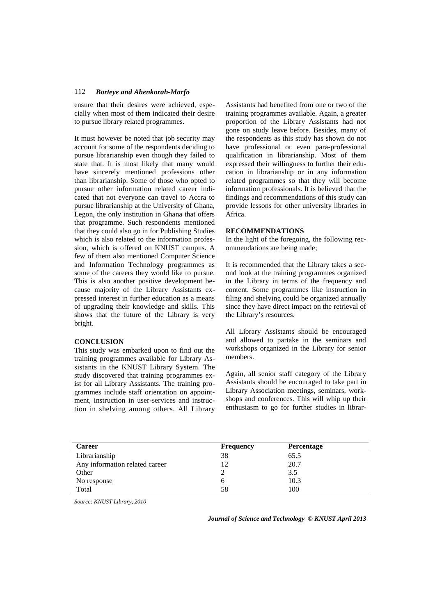ensure that their desires were achieved, especially when most of them indicated their desire to pursue library related programmes.

It must however be noted that job security may account for some of the respondents deciding to pursue librarianship even though they failed to state that. It is most likely that many would have sincerely mentioned professions other than librarianship. Some of those who opted to pursue other information related career indicated that not everyone can travel to Accra to pursue librarianship at the University of Ghana, Legon, the only institution in Ghana that offers that programme. Such respondents mentioned that they could also go in for Publishing Studies which is also related to the information profession, which is offered on KNUST campus. A few of them also mentioned Computer Science and Information Technology programmes as some of the careers they would like to pursue. This is also another positive development because majority of the Library Assistants expressed interest in further education as a means of upgrading their knowledge and skills. This shows that the future of the Library is very bright.

### **CONCLUSION**

This study was embarked upon to find out the training programmes available for Library Assistants in the KNUST Library System. The study discovered that training programmes exist for all Library Assistants. The training programmes include staff orientation on appointment, instruction in user-services and instruction in shelving among others. All Library

Assistants had benefited from one or two of the training programmes available. Again, a greater proportion of the Library Assistants had not gone on study leave before. Besides, many of the respondents as this study has shown do not have professional or even para-professional qualification in librarianship. Most of them expressed their willingness to further their education in librarianship or in any information related programmes so that they will become information professionals. It is believed that the findings and recommendations of this study can provide lessons for other university libraries in Africa.

### **RECOMMENDATIONS**

In the light of the foregoing, the following recommendations are being made;

It is recommended that the Library takes a second look at the training programmes organized in the Library in terms of the frequency and content. Some programmes like instruction in filing and shelving could be organized annually since they have direct impact on the retrieval of the Library's resources.

All Library Assistants should be encouraged and allowed to partake in the seminars and workshops organized in the Library for senior members.

Again, all senior staff category of the Library Assistants should be encouraged to take part in Library Association meetings, seminars, workshops and conferences. This will whip up their enthusiasm to go for further studies in librar-

| <b>Career</b>                  | <b>Frequency</b> | Percentage |
|--------------------------------|------------------|------------|
| Librarianship                  | 38               | 65.5       |
| Any information related career | 12               | 20.7       |
| Other                          |                  | 3.5        |
| No response                    | o                | 10.3       |
| Total                          | 58               | 100        |

*Source: KNUST Library, 2010*